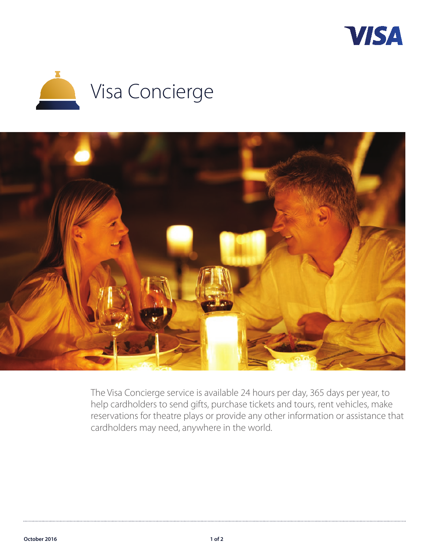





The Visa Concierge service is available 24 hours per day, 365 days per year, to help cardholders to send gifts, purchase tickets and tours, rent vehicles, make reservations for theatre plays or provide any other information or assistance that cardholders may need, anywhere in the world.